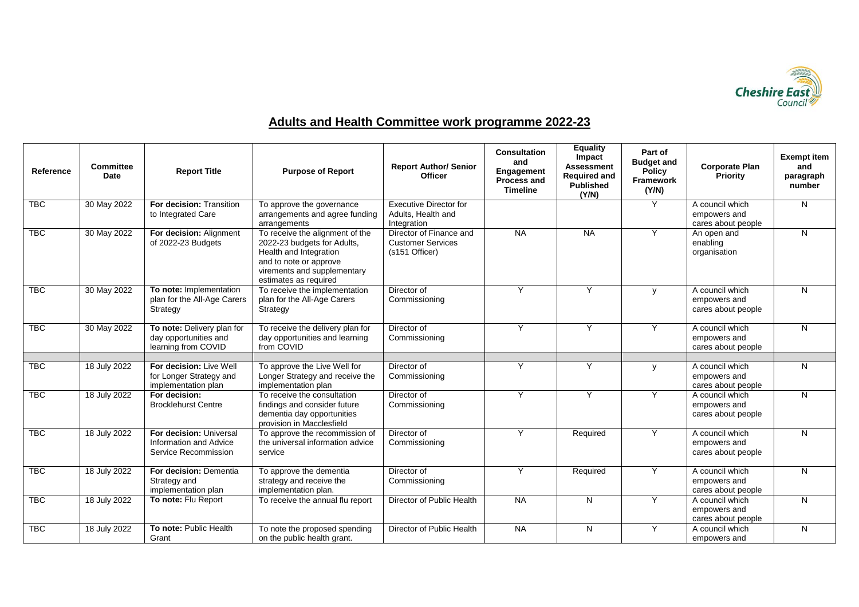

## **Adults and Health Committee work programme 2022-23**

| Reference  | <b>Committee</b><br>Date | <b>Report Title</b>                                                        | <b>Purpose of Report</b>                                                                                                                                                   | <b>Report Author/ Senior</b><br><b>Officer</b>                        | <b>Consultation</b><br>and<br>Engagement<br><b>Process and</b><br><b>Timeline</b> | <b>Equality</b><br>Impact<br><b>Assessment</b><br><b>Required and</b><br><b>Published</b><br>(Y/N) | Part of<br><b>Budget and</b><br><b>Policy</b><br><b>Framework</b><br>(Y/N) | <b>Corporate Plan</b><br><b>Priority</b>              | <b>Exempt item</b><br>and<br>paragraph<br>number |
|------------|--------------------------|----------------------------------------------------------------------------|----------------------------------------------------------------------------------------------------------------------------------------------------------------------------|-----------------------------------------------------------------------|-----------------------------------------------------------------------------------|----------------------------------------------------------------------------------------------------|----------------------------------------------------------------------------|-------------------------------------------------------|--------------------------------------------------|
| <b>TBC</b> | 30 May 2022              | For decision: Transition<br>to Integrated Care                             | To approve the governance<br>arrangements and agree funding<br>arrangements                                                                                                | <b>Executive Director for</b><br>Adults, Health and<br>Integration    |                                                                                   |                                                                                                    | Y                                                                          | A council which<br>empowers and<br>cares about people | N                                                |
| <b>TBC</b> | 30 May 2022              | For decision: Alignment<br>of 2022-23 Budgets                              | To receive the alignment of the<br>2022-23 budgets for Adults,<br>Health and Integration<br>and to note or approve<br>virements and supplementary<br>estimates as required | Director of Finance and<br><b>Customer Services</b><br>(s151 Officer) | <b>NA</b>                                                                         | <b>NA</b>                                                                                          | Y                                                                          | An open and<br>enabling<br>organisation               | N.                                               |
| <b>TBC</b> | 30 May 2022              | To note: Implementation<br>plan for the All-Age Carers<br>Strategy         | To receive the implementation<br>plan for the All-Age Carers<br>Strategy                                                                                                   | Director of<br>Commissioning                                          | Y                                                                                 | Y                                                                                                  | y                                                                          | A council which<br>empowers and<br>cares about people | N                                                |
| <b>TBC</b> | 30 May 2022              | To note: Delivery plan for<br>day opportunities and<br>learning from COVID | To receive the delivery plan for<br>day opportunities and learning<br>from COVID                                                                                           | Director of<br>Commissioning                                          | Y                                                                                 | Y                                                                                                  | Y                                                                          | A council which<br>empowers and<br>cares about people | N                                                |
| <b>TBC</b> | 18 July 2022             | For decision: Live Well<br>for Longer Strategy and<br>implementation plan  | To approve the Live Well for<br>Longer Strategy and receive the<br>implementation plan                                                                                     | Director of<br>Commissioning                                          | Y                                                                                 | Y                                                                                                  | y                                                                          | A council which<br>empowers and<br>cares about people | N.                                               |
| <b>TBC</b> | 18 July 2022             | For decision:<br><b>Brocklehurst Centre</b>                                | To receive the consultation<br>findings and consider future<br>dementia day opportunities<br>provision in Macclesfield                                                     | Director of<br>Commissioning                                          | Y                                                                                 | Y                                                                                                  | Y                                                                          | A council which<br>empowers and<br>cares about people | N                                                |
| <b>TBC</b> | 18 July 2022             | For decision: Universal<br>Information and Advice<br>Service Recommission  | To approve the recommission of<br>the universal information advice<br>service                                                                                              | Director of<br>Commissioning                                          | Y                                                                                 | Required                                                                                           | Y                                                                          | A council which<br>empowers and<br>cares about people | N.                                               |
| <b>TBC</b> | 18 July 2022             | For decision: Dementia<br>Strategy and<br>implementation plan              | To approve the dementia<br>strategy and receive the<br>implementation plan.                                                                                                | Director of<br>Commissioning                                          | Y                                                                                 | Required                                                                                           | Y                                                                          | A council which<br>empowers and<br>cares about people | N.                                               |
| <b>TBC</b> | 18 July 2022             | To note: Flu Report                                                        | To receive the annual flu report                                                                                                                                           | Director of Public Health                                             | <b>NA</b>                                                                         | N                                                                                                  | Y                                                                          | A council which<br>empowers and<br>cares about people | N.                                               |
| <b>TBC</b> | 18 July 2022             | To note: Public Health<br>Grant                                            | To note the proposed spending<br>on the public health grant.                                                                                                               | Director of Public Health                                             | <b>NA</b>                                                                         | N                                                                                                  | Υ                                                                          | A council which<br>empowers and                       | N                                                |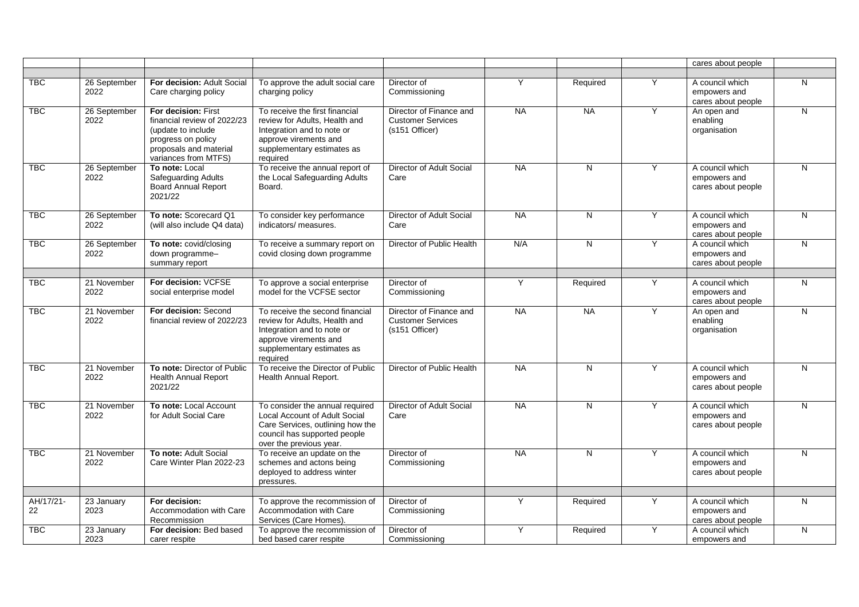|                 |                      |                                                                                                                                                   |                                                                                                                                                                   |                                                                       |           |           |   | cares about people                                    |   |
|-----------------|----------------------|---------------------------------------------------------------------------------------------------------------------------------------------------|-------------------------------------------------------------------------------------------------------------------------------------------------------------------|-----------------------------------------------------------------------|-----------|-----------|---|-------------------------------------------------------|---|
|                 |                      |                                                                                                                                                   |                                                                                                                                                                   |                                                                       |           |           |   |                                                       |   |
| <b>TBC</b>      | 26 September<br>2022 | For decision: Adult Social<br>Care charging policy                                                                                                | To approve the adult social care<br>charging policy                                                                                                               | Director of<br>Commissioning                                          | Y         | Required  | Y | A council which<br>empowers and<br>cares about people | N |
| <b>TBC</b>      | 26 September<br>2022 | For decision: First<br>financial review of 2022/23<br>(update to include)<br>progress on policy<br>proposals and material<br>variances from MTFS) | To receive the first financial<br>review for Adults, Health and<br>Integration and to note or<br>approve virements and<br>supplementary estimates as<br>required  | Director of Finance and<br><b>Customer Services</b><br>(s151 Officer) | <b>NA</b> | <b>NA</b> | Υ | An open and<br>enabling<br>organisation               | N |
| <b>TBC</b>      | 26 September<br>2022 | To note: Local<br>Safeguarding Adults<br><b>Board Annual Report</b><br>2021/22                                                                    | To receive the annual report of<br>the Local Safeguarding Adults<br>Board.                                                                                        | Director of Adult Social<br>Care                                      | <b>NA</b> | N         | Y | A council which<br>empowers and<br>cares about people | N |
| <b>TBC</b>      | 26 September<br>2022 | To note: Scorecard Q1<br>(will also include Q4 data)                                                                                              | To consider key performance<br>indicators/ measures.                                                                                                              | Director of Adult Social<br>Care                                      | <b>NA</b> | N         | Y | A council which<br>empowers and<br>cares about people | N |
| <b>TBC</b>      | 26 September<br>2022 | To note: covid/closing<br>down programme-<br>summary report                                                                                       | To receive a summary report on<br>covid closing down programme                                                                                                    | Director of Public Health                                             | N/A       | N         | Ÿ | A council which<br>empowers and<br>cares about people | N |
| <b>TBC</b>      | 21 November<br>2022  | For decision: VCFSE<br>social enterprise model                                                                                                    | To approve a social enterprise<br>model for the VCFSE sector                                                                                                      | Director of<br>Commissioning                                          | Y         | Required  | Y | A council which<br>empowers and<br>cares about people | N |
| <b>TBC</b>      | 21 November<br>2022  | For decision: Second<br>financial review of 2022/23                                                                                               | To receive the second financial<br>review for Adults, Health and<br>Integration and to note or<br>approve virements and<br>supplementary estimates as<br>required | Director of Finance and<br><b>Customer Services</b><br>(s151 Officer) | <b>NA</b> | $N_A$     | Y | An open and<br>enabling<br>organisation               | N |
| <b>TBC</b>      | 21 November<br>2022  | To note: Director of Public<br><b>Health Annual Report</b><br>2021/22                                                                             | To receive the Director of Public<br>Health Annual Report.                                                                                                        | Director of Public Health                                             | <b>NA</b> | N         | Υ | A council which<br>empowers and<br>cares about people | N |
| <b>TBC</b>      | 21 November<br>2022  | To note: Local Account<br>for Adult Social Care                                                                                                   | To consider the annual required<br>Local Account of Adult Social<br>Care Services, outlining how the<br>council has supported people<br>over the previous year.   | Director of Adult Social<br>Care                                      | <b>NA</b> | N         | Y | A council which<br>empowers and<br>cares about people | N |
| <b>TBC</b>      | 21 November<br>2022  | To note: Adult Social<br>Care Winter Plan 2022-23                                                                                                 | To receive an update on the<br>schemes and actons being<br>deployed to address winter<br>pressures.                                                               | Director of<br>Commissioning                                          | <b>NA</b> | N         | Y | A council which<br>empowers and<br>cares about people | N |
| AH/17/21-<br>22 | 23 January<br>2023   | For decision:<br>Accommodation with Care<br>Recommission                                                                                          | To approve the recommission of<br>Accommodation with Care<br>Services (Care Homes).                                                                               | Director of<br>Commissioning                                          | Y         | Required  | Y | A council which<br>empowers and<br>cares about people | N |
| <b>TBC</b>      | 23 January<br>2023   | For decision: Bed based<br>carer respite                                                                                                          | To approve the recommission of<br>bed based carer respite                                                                                                         | Director of<br>Commissioning                                          | Y         | Required  | Y | A council which<br>empowers and                       | N |